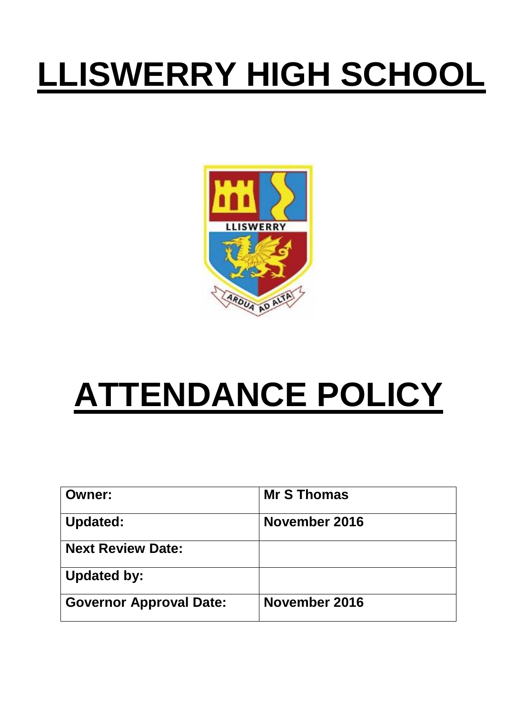# **LLISWERRY HIGH SCHOOL**



# **ATTENDANCE POLICY**

| <b>Owner:</b>                  | <b>Mr S Thomas</b> |
|--------------------------------|--------------------|
| <b>Updated:</b>                | November 2016      |
| <b>Next Review Date:</b>       |                    |
| <b>Updated by:</b>             |                    |
| <b>Governor Approval Date:</b> | November 2016      |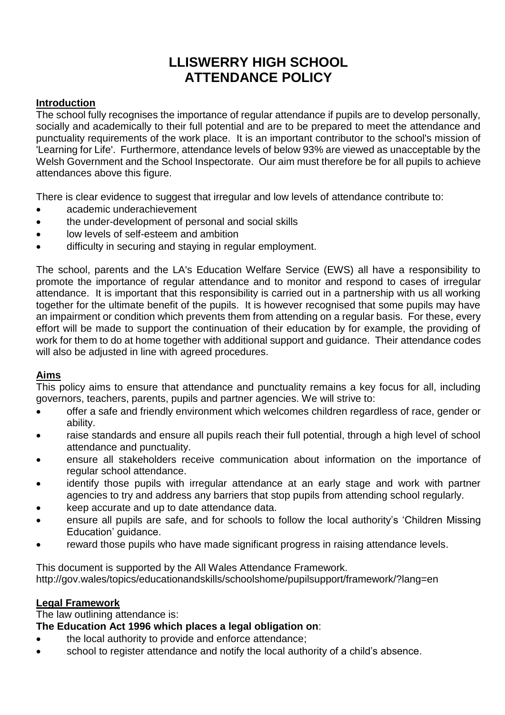## **LLISWERRY HIGH SCHOOL ATTENDANCE POLICY**

## **Introduction**

The school fully recognises the importance of regular attendance if pupils are to develop personally, socially and academically to their full potential and are to be prepared to meet the attendance and punctuality requirements of the work place. It is an important contributor to the school's mission of 'Learning for Life'. Furthermore, attendance levels of below 93% are viewed as unacceptable by the Welsh Government and the School Inspectorate. Our aim must therefore be for all pupils to achieve attendances above this figure.

There is clear evidence to suggest that irregular and low levels of attendance contribute to:

- academic underachievement
- the under-development of personal and social skills
- low levels of self-esteem and ambition
- difficulty in securing and staying in regular employment.

The school, parents and the LA's Education Welfare Service (EWS) all have a responsibility to promote the importance of regular attendance and to monitor and respond to cases of irregular attendance. It is important that this responsibility is carried out in a partnership with us all working together for the ultimate benefit of the pupils. It is however recognised that some pupils may have an impairment or condition which prevents them from attending on a regular basis. For these, every effort will be made to support the continuation of their education by for example, the providing of work for them to do at home together with additional support and guidance. Their attendance codes will also be adjusted in line with agreed procedures.

## **Aims**

This policy aims to ensure that attendance and punctuality remains a key focus for all, including governors, teachers, parents, pupils and partner agencies. We will strive to:

- offer a safe and friendly environment which welcomes children regardless of race, gender or ability.
- raise standards and ensure all pupils reach their full potential, through a high level of school attendance and punctuality.
- ensure all stakeholders receive communication about information on the importance of regular school attendance.
- identify those pupils with irregular attendance at an early stage and work with partner agencies to try and address any barriers that stop pupils from attending school regularly.
- keep accurate and up to date attendance data.
- ensure all pupils are safe, and for schools to follow the local authority's 'Children Missing Education' guidance.
- reward those pupils who have made significant progress in raising attendance levels.

This document is supported by the All Wales Attendance Framework. <http://gov.wales/topics/educationandskills/schoolshome/pupilsupport/framework/?lang=en>

#### **Legal Framework**

The law outlining attendance is:

#### **The Education Act 1996 which places a legal obligation on**:

- the local authority to provide and enforce attendance;
- school to register attendance and notify the local authority of a child's absence.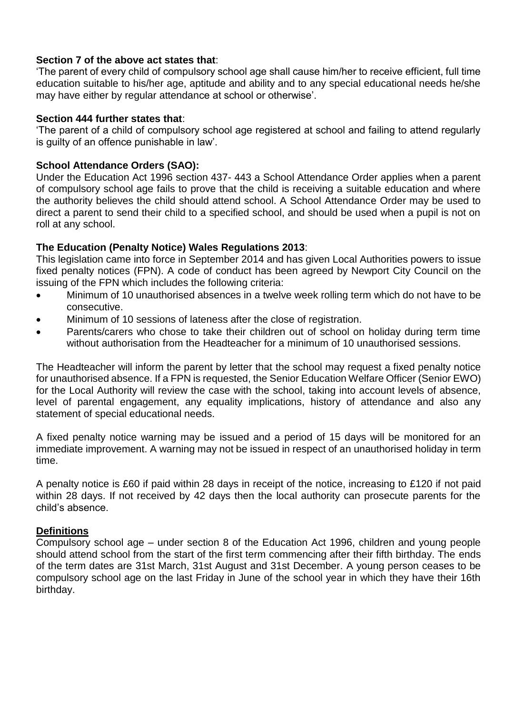#### **Section 7 of the above act states that**:

'The parent of every child of compulsory school age shall cause him/her to receive efficient, full time education suitable to his/her age, aptitude and ability and to any special educational needs he/she may have either by regular attendance at school or otherwise'.

#### **Section 444 further states that**:

'The parent of a child of compulsory school age registered at school and failing to attend regularly is guilty of an offence punishable in law'.

#### **School Attendance Orders (SAO):**

Under the Education Act 1996 section 437- 443 a School Attendance Order applies when a parent of compulsory school age fails to prove that the child is receiving a suitable education and where the authority believes the child should attend school. A School Attendance Order may be used to direct a parent to send their child to a specified school, and should be used when a pupil is not on roll at any school.

#### **The Education (Penalty Notice) Wales Regulations 2013**:

This legislation came into force in September 2014 and has given Local Authorities powers to issue fixed penalty notices (FPN). A code of conduct has been agreed by Newport City Council on the issuing of the FPN which includes the following criteria:

- Minimum of 10 unauthorised absences in a twelve week rolling term which do not have to be consecutive.
- Minimum of 10 sessions of lateness after the close of registration.
- Parents/carers who chose to take their children out of school on holiday during term time without authorisation from the Headteacher for a minimum of 10 unauthorised sessions.

The Headteacher will inform the parent by letter that the school may request a fixed penalty notice for unauthorised absence. If a FPN is requested, the Senior Education Welfare Officer (Senior EWO) for the Local Authority will review the case with the school, taking into account levels of absence, level of parental engagement, any equality implications, history of attendance and also any statement of special educational needs.

A fixed penalty notice warning may be issued and a period of 15 days will be monitored for an immediate improvement. A warning may not be issued in respect of an unauthorised holiday in term time.

A penalty notice is £60 if paid within 28 days in receipt of the notice, increasing to £120 if not paid within 28 days. If not received by 42 days then the local authority can prosecute parents for the child's absence.

#### **Definitions**

Compulsory school age – under section 8 of the Education Act 1996, children and young people should attend school from the start of the first term commencing after their fifth birthday. The ends of the term dates are 31st March, 31st August and 31st December. A young person ceases to be compulsory school age on the last Friday in June of the school year in which they have their 16th birthday.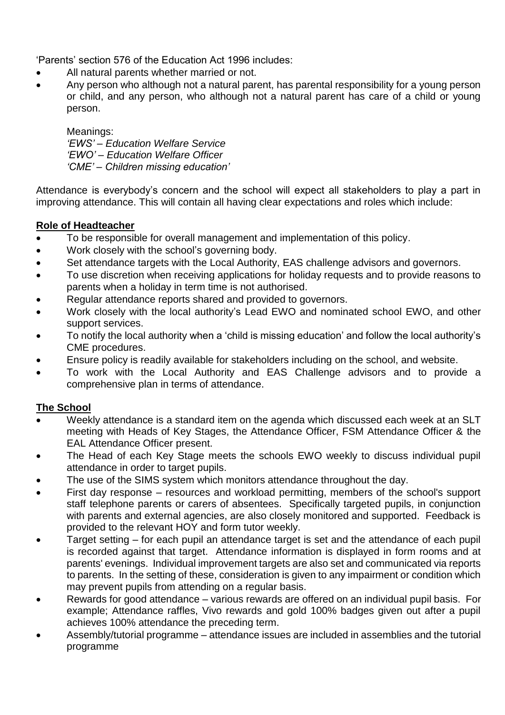'Parents' section 576 of the Education Act 1996 includes:

- All natural parents whether married or not.
- Any person who although not a natural parent, has parental responsibility for a young person or child, and any person, who although not a natural parent has care of a child or young person.

Meanings: *'EWS' – Education Welfare Service 'EWO' – Education Welfare Officer 'CME' – Children missing education'*

Attendance is everybody's concern and the school will expect all stakeholders to play a part in improving attendance. This will contain all having clear expectations and roles which include:

## **Role of Headteacher**

- To be responsible for overall management and implementation of this policy.
- Work closely with the school's governing body.
- Set attendance targets with the Local Authority, EAS challenge advisors and governors.
- To use discretion when receiving applications for holiday requests and to provide reasons to parents when a holiday in term time is not authorised.
- Regular attendance reports shared and provided to governors.
- Work closely with the local authority's Lead EWO and nominated school EWO, and other support services.
- To notify the local authority when a 'child is missing education' and follow the local authority's CME procedures.
- Ensure policy is readily available for stakeholders including on the school, and website.
- To work with the Local Authority and EAS Challenge advisors and to provide a comprehensive plan in terms of attendance.

## **The School**

- Weekly attendance is a standard item on the agenda which discussed each week at an SLT meeting with Heads of Key Stages, the Attendance Officer, FSM Attendance Officer & the EAL Attendance Officer present.
- The Head of each Key Stage meets the schools EWO weekly to discuss individual pupil attendance in order to target pupils.
- The use of the SIMS system which monitors attendance throughout the day.
- First day response resources and workload permitting, members of the school's support staff telephone parents or carers of absentees. Specifically targeted pupils, in conjunction with parents and external agencies, are also closely monitored and supported. Feedback is provided to the relevant HOY and form tutor weekly.
- Target setting for each pupil an attendance target is set and the attendance of each pupil is recorded against that target. Attendance information is displayed in form rooms and at parents' evenings. Individual improvement targets are also set and communicated via reports to parents. In the setting of these, consideration is given to any impairment or condition which may prevent pupils from attending on a regular basis.
- Rewards for good attendance various rewards are offered on an individual pupil basis. For example; Attendance raffles, Vivo rewards and gold 100% badges given out after a pupil achieves 100% attendance the preceding term.
- Assembly/tutorial programme attendance issues are included in assemblies and the tutorial programme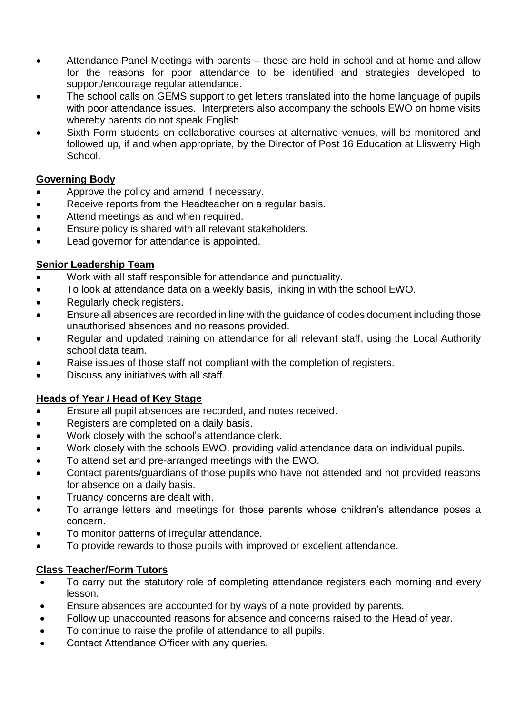- Attendance Panel Meetings with parents these are held in school and at home and allow for the reasons for poor attendance to be identified and strategies developed to support/encourage regular attendance.
- The school calls on GEMS support to get letters translated into the home language of pupils with poor attendance issues. Interpreters also accompany the schools EWO on home visits whereby parents do not speak English
- Sixth Form students on collaborative courses at alternative venues, will be monitored and followed up, if and when appropriate, by the Director of Post 16 Education at Lliswerry High School.

## **Governing Body**

- Approve the policy and amend if necessary.
- Receive reports from the Headteacher on a regular basis.
- Attend meetings as and when required.
- Ensure policy is shared with all relevant stakeholders.
- Lead governor for attendance is appointed.

## **Senior Leadership Team**

- Work with all staff responsible for attendance and punctuality.
- To look at attendance data on a weekly basis, linking in with the school EWO.
- Regularly check registers.
- Ensure all absences are recorded in line with the guidance of codes document including those unauthorised absences and no reasons provided.
- Regular and updated training on attendance for all relevant staff, using the Local Authority school data team.
- Raise issues of those staff not compliant with the completion of registers.
- Discuss any initiatives with all staff.

## **Heads of Year / Head of Key Stage**

- Ensure all pupil absences are recorded, and notes received.
- Registers are completed on a daily basis.
- Work closely with the school's attendance clerk.
- Work closely with the schools EWO, providing valid attendance data on individual pupils.
- To attend set and pre-arranged meetings with the EWO.
- Contact parents/guardians of those pupils who have not attended and not provided reasons for absence on a daily basis.
- Truancy concerns are dealt with.
- To arrange letters and meetings for those parents whose children's attendance poses a concern.
- To monitor patterns of irregular attendance.
- To provide rewards to those pupils with improved or excellent attendance.

## **Class Teacher/Form Tutors**

- To carry out the statutory role of completing attendance registers each morning and every lesson.
- Ensure absences are accounted for by ways of a note provided by parents.
- Follow up unaccounted reasons for absence and concerns raised to the Head of year.
- To continue to raise the profile of attendance to all pupils.
- Contact Attendance Officer with any queries.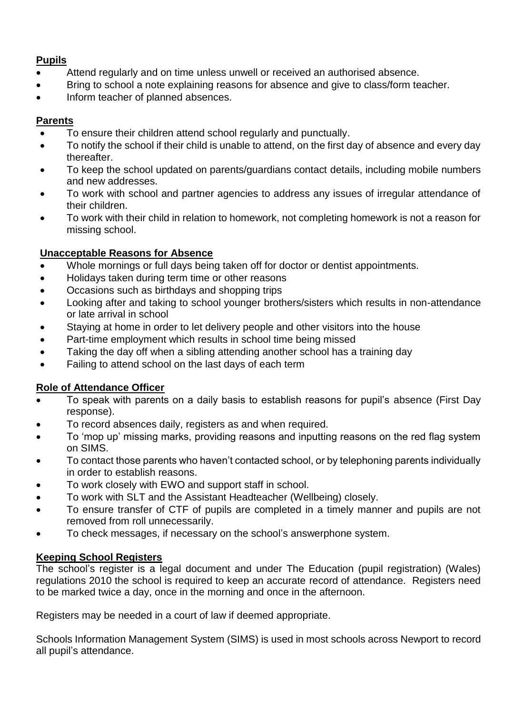## **Pupils**

- Attend regularly and on time unless unwell or received an authorised absence.
- Bring to school a note explaining reasons for absence and give to class/form teacher.
- Inform teacher of planned absences.

## **Parents**

- To ensure their children attend school regularly and punctually.
- To notify the school if their child is unable to attend, on the first day of absence and every day thereafter.
- To keep the school updated on parents/guardians contact details, including mobile numbers and new addresses.
- To work with school and partner agencies to address any issues of irregular attendance of their children.
- To work with their child in relation to homework, not completing homework is not a reason for missing school.

## **Unacceptable Reasons for Absence**

- Whole mornings or full days being taken off for doctor or dentist appointments.
- Holidays taken during term time or other reasons
- Occasions such as birthdays and shopping trips
- Looking after and taking to school younger brothers/sisters which results in non-attendance or late arrival in school
- Staying at home in order to let delivery people and other visitors into the house
- Part-time employment which results in school time being missed
- Taking the day off when a sibling attending another school has a training day
- Failing to attend school on the last days of each term

## **Role of Attendance Officer**

- To speak with parents on a daily basis to establish reasons for pupil's absence (First Day response).
- To record absences daily, registers as and when required.
- To 'mop up' missing marks, providing reasons and inputting reasons on the red flag system on SIMS.
- To contact those parents who haven't contacted school, or by telephoning parents individually in order to establish reasons.
- To work closely with EWO and support staff in school.
- To work with SLT and the Assistant Headteacher (Wellbeing) closely.
- To ensure transfer of CTF of pupils are completed in a timely manner and pupils are not removed from roll unnecessarily.
- To check messages, if necessary on the school's answerphone system.

## **Keeping School Registers**

The school's register is a legal document and under The Education (pupil registration) (Wales) regulations 2010 the school is required to keep an accurate record of attendance. Registers need to be marked twice a day, once in the morning and once in the afternoon.

Registers may be needed in a court of law if deemed appropriate.

Schools Information Management System (SIMS) is used in most schools across Newport to record all pupil's attendance.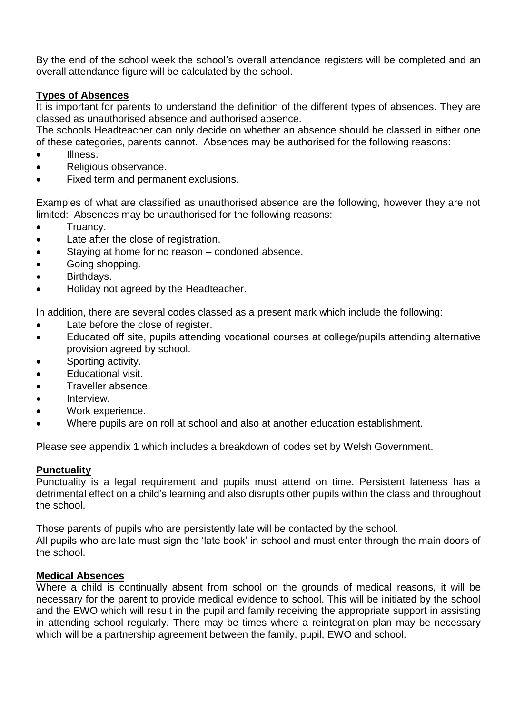By the end of the school week the school's overall attendance registers will be completed and an overall attendance figure will be calculated by the school.

#### **Types of Absences**

It is important for parents to understand the definition of the different types of absences. They are classed as unauthorised absence and authorised absence.

The schools Headteacher can only decide on whether an absence should be classed in either one of these categories, parents cannot. Absences may be authorised for the following reasons:

- Illness.
- Religious observance.
- Fixed term and permanent exclusions.

Examples of what are classified as unauthorised absence are the following, however they are not limited: Absences may be unauthorised for the following reasons:

- Truancy.
- Late after the close of registration.
- Staying at home for no reason condoned absence.
- Going shopping.
- Birthdays.
- Holiday not agreed by the Headteacher.

In addition, there are several codes classed as a present mark which include the following:

- Late before the close of register.
- Educated off site, pupils attending vocational courses at college/pupils attending alternative provision agreed by school.
- Sporting activity.
- Educational visit.
- Traveller absence.
- Interview.
- Work experience.
- Where pupils are on roll at school and also at another education establishment.

Please see appendix 1 which includes a breakdown of codes set by Welsh Government.

#### **Punctuality**

Punctuality is a legal requirement and pupils must attend on time. Persistent lateness has a detrimental effect on a child's learning and also disrupts other pupils within the class and throughout the school.

Those parents of pupils who are persistently late will be contacted by the school.

All pupils who are late must sign the 'late book' in school and must enter through the main doors of the school.

#### **Medical Absences**

Where a child is continually absent from school on the grounds of medical reasons, it will be necessary for the parent to provide medical evidence to school. This will be initiated by the school and the EWO which will result in the pupil and family receiving the appropriate support in assisting in attending school regularly. There may be times where a reintegration plan may be necessary which will be a partnership agreement between the family, pupil, EWO and school.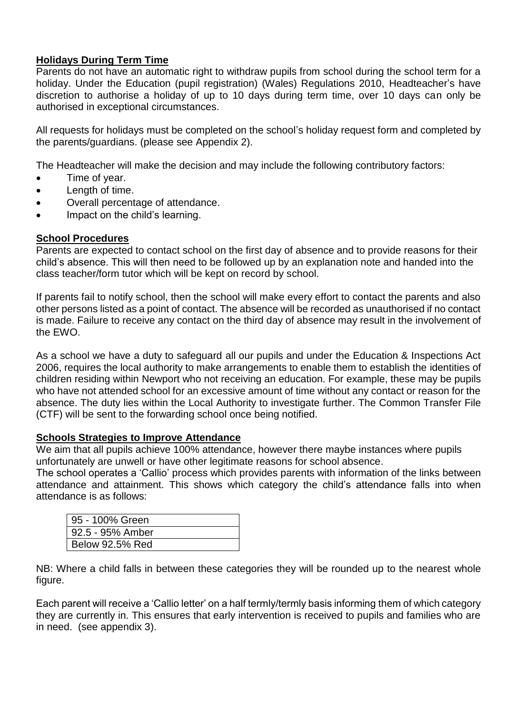## **Holidays During Term Time**

Parents do not have an automatic right to withdraw pupils from school during the school term for a holiday. Under the Education (pupil registration) (Wales) Regulations 2010, Headteacher's have discretion to authorise a holiday of up to 10 days during term time, over 10 days can only be authorised in exceptional circumstances.

All requests for holidays must be completed on the school's holiday request form and completed by the parents/guardians. (please see Appendix 2).

The Headteacher will make the decision and may include the following contributory factors:

- Time of year.
- Length of time.
- Overall percentage of attendance.
- Impact on the child's learning.

#### **School Procedures**

Parents are expected to contact school on the first day of absence and to provide reasons for their child's absence. This will then need to be followed up by an explanation note and handed into the class teacher/form tutor which will be kept on record by school.

If parents fail to notify school, then the school will make every effort to contact the parents and also other persons listed as a point of contact. The absence will be recorded as unauthorised if no contact is made. Failure to receive any contact on the third day of absence may result in the involvement of the EWO.

As a school we have a duty to safeguard all our pupils and under the Education & Inspections Act 2006, requires the local authority to make arrangements to enable them to establish the identities of children residing within Newport who not receiving an education. For example, these may be pupils who have not attended school for an excessive amount of time without any contact or reason for the absence. The duty lies within the Local Authority to investigate further. The Common Transfer File (CTF) will be sent to the forwarding school once being notified.

#### **Schools Strategies to Improve Attendance**

We aim that all pupils achieve 100% attendance, however there maybe instances where pupils unfortunately are unwell or have other legitimate reasons for school absence.

The school operates a 'Callio' process which provides parents with information of the links between attendance and attainment. This shows which category the child's attendance falls into when attendance is as follows:

| 95 - 100% Green        |
|------------------------|
| 92.5 - 95% Amber       |
| <b>Below 92.5% Red</b> |

NB: Where a child falls in between these categories they will be rounded up to the nearest whole figure.

Each parent will receive a 'Callio letter' on a half termly/termly basis informing them of which category they are currently in. This ensures that early intervention is received to pupils and families who are in need. (see appendix 3).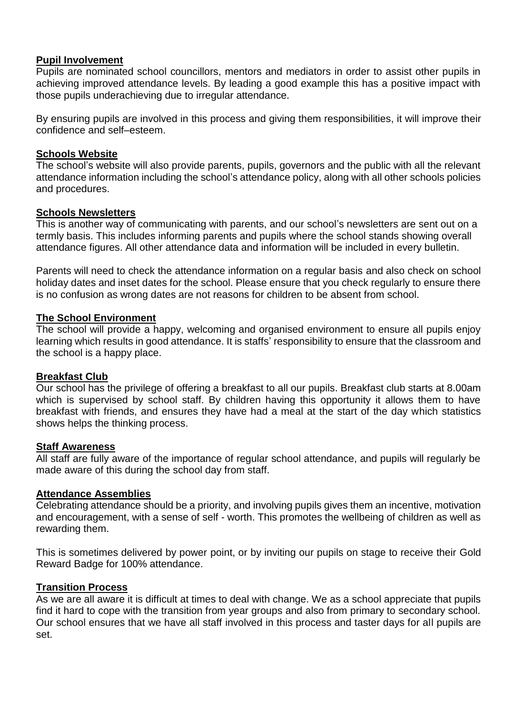#### **Pupil Involvement**

Pupils are nominated school councillors, mentors and mediators in order to assist other pupils in achieving improved attendance levels. By leading a good example this has a positive impact with those pupils underachieving due to irregular attendance.

By ensuring pupils are involved in this process and giving them responsibilities, it will improve their confidence and self–esteem.

#### **Schools Website**

The school's website will also provide parents, pupils, governors and the public with all the relevant attendance information including the school's attendance policy, along with all other schools policies and procedures.

#### **Schools Newsletters**

This is another way of communicating with parents, and our school's newsletters are sent out on a termly basis. This includes informing parents and pupils where the school stands showing overall attendance figures. All other attendance data and information will be included in every bulletin.

Parents will need to check the attendance information on a regular basis and also check on school holiday dates and inset dates for the school. Please ensure that you check regularly to ensure there is no confusion as wrong dates are not reasons for children to be absent from school.

#### **The School Environment**

The school will provide a happy, welcoming and organised environment to ensure all pupils enjoy learning which results in good attendance. It is staffs' responsibility to ensure that the classroom and the school is a happy place.

#### **Breakfast Club**

Our school has the privilege of offering a breakfast to all our pupils. Breakfast club starts at 8.00am which is supervised by school staff. By children having this opportunity it allows them to have breakfast with friends, and ensures they have had a meal at the start of the day which statistics shows helps the thinking process.

#### **Staff Awareness**

All staff are fully aware of the importance of regular school attendance, and pupils will regularly be made aware of this during the school day from staff.

#### **Attendance Assemblies**

Celebrating attendance should be a priority, and involving pupils gives them an incentive, motivation and encouragement, with a sense of self - worth. This promotes the wellbeing of children as well as rewarding them.

This is sometimes delivered by power point, or by inviting our pupils on stage to receive their Gold Reward Badge for 100% attendance.

#### **Transition Process**

As we are all aware it is difficult at times to deal with change. We as a school appreciate that pupils find it hard to cope with the transition from year groups and also from primary to secondary school. Our school ensures that we have all staff involved in this process and taster days for all pupils are set.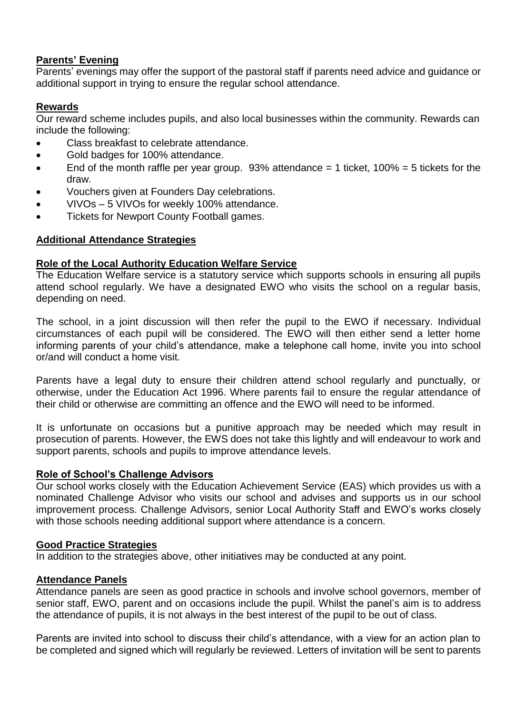## **Parents' Evening**

Parents' evenings may offer the support of the pastoral staff if parents need advice and guidance or additional support in trying to ensure the regular school attendance.

## **Rewards**

Our reward scheme includes pupils, and also local businesses within the community. Rewards can include the following:

- Class breakfast to celebrate attendance.
- Gold badges for 100% attendance.
- $\bullet$  End of the month raffle per year group. 93% attendance = 1 ticket, 100% = 5 tickets for the draw.
- Vouchers given at Founders Day celebrations.
- VIVOs 5 VIVOs for weekly 100% attendance.
- Tickets for Newport County Football games.

## **Additional Attendance Strategies**

## **Role of the Local Authority Education Welfare Service**

The Education Welfare service is a statutory service which supports schools in ensuring all pupils attend school regularly. We have a designated EWO who visits the school on a regular basis, depending on need.

The school, in a joint discussion will then refer the pupil to the EWO if necessary. Individual circumstances of each pupil will be considered. The EWO will then either send a letter home informing parents of your child's attendance, make a telephone call home, invite you into school or/and will conduct a home visit.

Parents have a legal duty to ensure their children attend school regularly and punctually, or otherwise, under the Education Act 1996. Where parents fail to ensure the regular attendance of their child or otherwise are committing an offence and the EWO will need to be informed.

It is unfortunate on occasions but a punitive approach may be needed which may result in prosecution of parents. However, the EWS does not take this lightly and will endeavour to work and support parents, schools and pupils to improve attendance levels.

## **Role of School's Challenge Advisors**

Our school works closely with the Education Achievement Service (EAS) which provides us with a nominated Challenge Advisor who visits our school and advises and supports us in our school improvement process. Challenge Advisors, senior Local Authority Staff and EWO's works closely with those schools needing additional support where attendance is a concern.

## **Good Practice Strategies**

In addition to the strategies above, other initiatives may be conducted at any point.

## **Attendance Panels**

Attendance panels are seen as good practice in schools and involve school governors, member of senior staff, EWO, parent and on occasions include the pupil. Whilst the panel's aim is to address the attendance of pupils, it is not always in the best interest of the pupil to be out of class.

Parents are invited into school to discuss their child's attendance, with a view for an action plan to be completed and signed which will regularly be reviewed. Letters of invitation will be sent to parents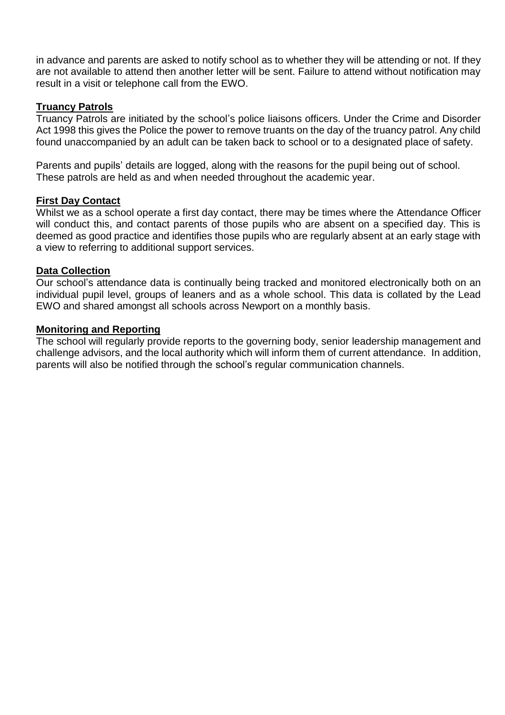in advance and parents are asked to notify school as to whether they will be attending or not. If they are not available to attend then another letter will be sent. Failure to attend without notification may result in a visit or telephone call from the EWO.

#### **Truancy Patrols**

Truancy Patrols are initiated by the school's police liaisons officers. Under the Crime and Disorder Act 1998 this gives the Police the power to remove truants on the day of the truancy patrol. Any child found unaccompanied by an adult can be taken back to school or to a designated place of safety.

Parents and pupils' details are logged, along with the reasons for the pupil being out of school. These patrols are held as and when needed throughout the academic year.

#### **First Day Contact**

Whilst we as a school operate a first day contact, there may be times where the Attendance Officer will conduct this, and contact parents of those pupils who are absent on a specified day. This is deemed as good practice and identifies those pupils who are regularly absent at an early stage with a view to referring to additional support services.

#### **Data Collection**

Our school's attendance data is continually being tracked and monitored electronically both on an individual pupil level, groups of leaners and as a whole school. This data is collated by the Lead EWO and shared amongst all schools across Newport on a monthly basis.

#### **Monitoring and Reporting**

The school will regularly provide reports to the governing body, senior leadership management and challenge advisors, and the local authority which will inform them of current attendance. In addition, parents will also be notified through the school's regular communication channels.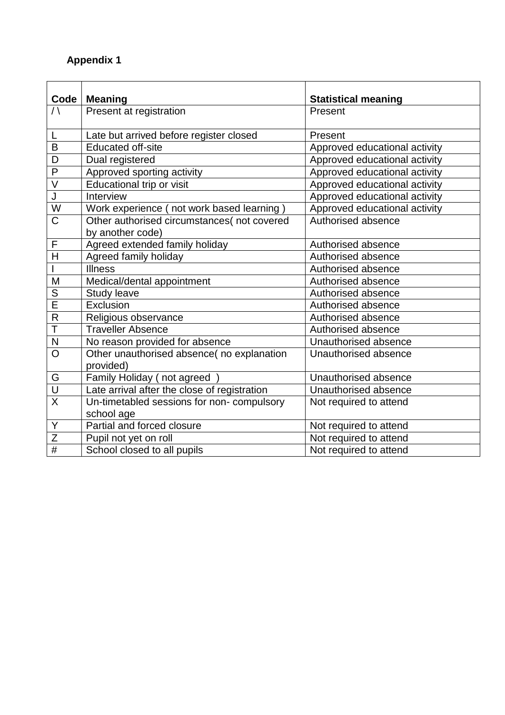## **Appendix 1**

| Code                    | <b>Meaning</b>                                          | <b>Statistical meaning</b>    |  |
|-------------------------|---------------------------------------------------------|-------------------------------|--|
| $\bigwedge$             | Present at registration                                 | Present                       |  |
| L                       | Late but arrived before register closed                 | Present                       |  |
| B                       | <b>Educated off-site</b>                                | Approved educational activity |  |
| D                       | Dual registered                                         | Approved educational activity |  |
| $\overline{P}$          | Approved sporting activity                              | Approved educational activity |  |
| V                       | Educational trip or visit                               | Approved educational activity |  |
| $\mathsf J$             | Interview                                               | Approved educational activity |  |
| $\overline{\mathsf{W}}$ | Work experience (not work based learning)               | Approved educational activity |  |
| $\overline{\text{C}}$   | Other authorised circumstances(not covered              | Authorised absence            |  |
| F                       | by another code)                                        | Authorised absence            |  |
| H                       | Agreed extended family holiday                          |                               |  |
|                         | Agreed family holiday<br><b>Illness</b>                 | Authorised absence            |  |
| M                       |                                                         | Authorised absence            |  |
| $\overline{\mathsf{S}}$ | Medical/dental appointment                              | Authorised absence            |  |
| $\overline{\mathsf{E}}$ | <b>Study leave</b><br>Exclusion                         | Authorised absence            |  |
| $\mathsf{R}$            |                                                         | Authorised absence            |  |
| T                       | Religious observance<br><b>Traveller Absence</b>        | Authorised absence            |  |
|                         |                                                         | Authorised absence            |  |
| $\mathsf{N}$            | No reason provided for absence                          | Unauthorised absence          |  |
| $\overline{O}$          | Other unauthorised absence( no explanation<br>provided) | Unauthorised absence          |  |
| G                       | Family Holiday (not agreed                              | Unauthorised absence          |  |
| $\overline{\mathsf{U}}$ | Late arrival after the close of registration            | Unauthorised absence          |  |
| $\overline{\mathsf{x}}$ | Un-timetabled sessions for non- compulsory              | Not required to attend        |  |
|                         | school age                                              |                               |  |
| Υ                       | Partial and forced closure                              | Not required to attend        |  |
| $\overline{Z}$          | Pupil not yet on roll                                   | Not required to attend        |  |
| $\overline{\#}$         | School closed to all pupils                             | Not required to attend        |  |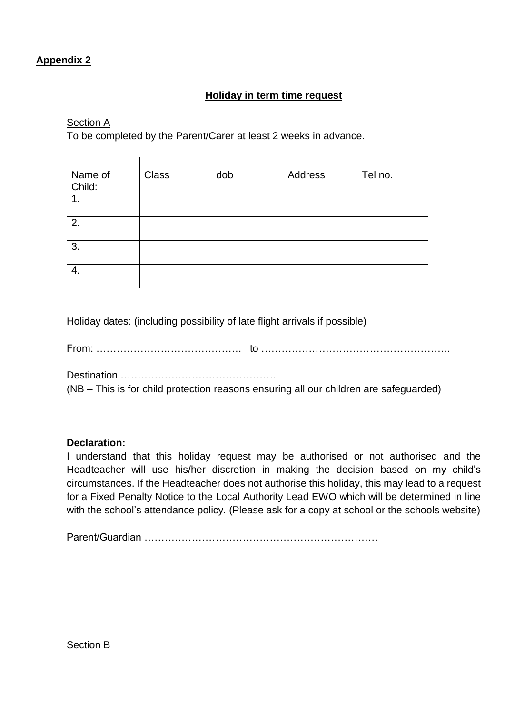## **Appendix 2**

## **Holiday in term time request**

Section A

To be completed by the Parent/Carer at least 2 weeks in advance.

| Name of<br>Child: | <b>Class</b> | dob | Address | Tel no. |
|-------------------|--------------|-----|---------|---------|
| 1.                |              |     |         |         |
| 2.                |              |     |         |         |
| 3.                |              |     |         |         |
| 4.                |              |     |         |         |

Holiday dates: (including possibility of late flight arrivals if possible)

From: ……………………………………. to ………………………………………………..

Destination ……………………………………….

(NB – This is for child protection reasons ensuring all our children are safeguarded)

#### **Declaration:**

I understand that this holiday request may be authorised or not authorised and the Headteacher will use his/her discretion in making the decision based on my child's circumstances. If the Headteacher does not authorise this holiday, this may lead to a request for a Fixed Penalty Notice to the Local Authority Lead EWO which will be determined in line with the school's attendance policy. (Please ask for a copy at school or the schools website)

Parent/Guardian ……………………………………………………………

#### Section B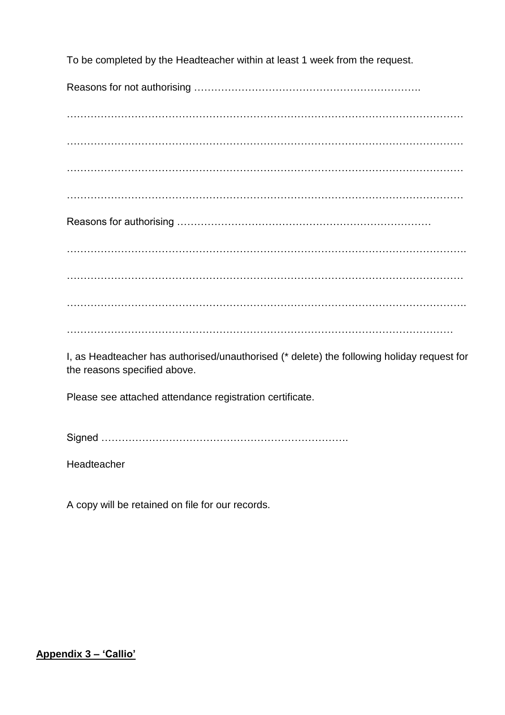To be completed by the Headteacher within at least 1 week from the request.

Reasons for not authorising ………………………………………………………….

……………………………………………………………………………………………………… ……………………………………………………………………………………………………… ………………………………………………………………………………………………………

………………………………………………………………………………………………………

Reasons for authorising …………………………………………………………………

………………………………………………………………………………………………………. ……………………………………………………………………………………………………… ……………………………………………………………………………………………………….

……………………………………………………………………………………………………

I, as Headteacher has authorised/unauthorised (\* delete) the following holiday request for the reasons specified above.

Please see attached attendance registration certificate.

Signed ……………………………………………………………….

Headteacher

A copy will be retained on file for our records.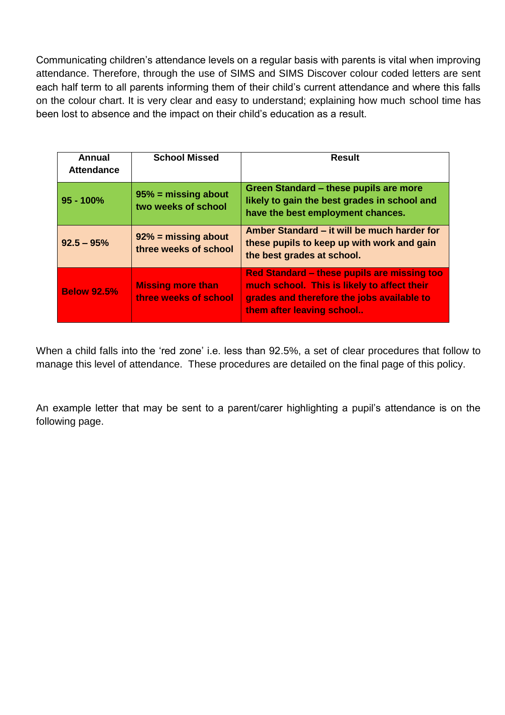Communicating children's attendance levels on a regular basis with parents is vital when improving attendance. Therefore, through the use of SIMS and SIMS Discover colour coded letters are sent each half term to all parents informing them of their child's current attendance and where this falls on the colour chart. It is very clear and easy to understand; explaining how much school time has been lost to absence and the impact on their child's education as a result.

| Annual<br><b>Attendance</b> | <b>School Missed</b>                              | <b>Result</b>                                                                                                                                                         |
|-----------------------------|---------------------------------------------------|-----------------------------------------------------------------------------------------------------------------------------------------------------------------------|
| $95 - 100%$                 | $95%$ = missing about<br>two weeks of school      | Green Standard - these pupils are more<br>likely to gain the best grades in school and<br>have the best employment chances.                                           |
| $92.5 - 95%$                | $92\%$ = missing about<br>three weeks of school   | Amber Standard – it will be much harder for<br>these pupils to keep up with work and gain<br>the best grades at school.                                               |
| <b>Below 92.5%</b>          | <b>Missing more than</b><br>three weeks of school | Red Standard – these pupils are missing too<br>much school. This is likely to affect their<br>grades and therefore the jobs available to<br>them after leaving school |

When a child falls into the 'red zone' i.e. less than 92.5%, a set of clear procedures that follow to manage this level of attendance. These procedures are detailed on the final page of this policy.

An example letter that may be sent to a parent/carer highlighting a pupil's attendance is on the following page.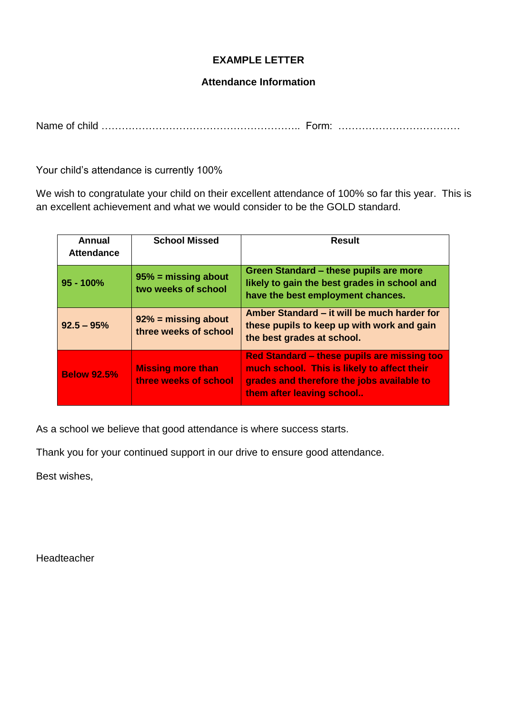## **EXAMPLE LETTER**

### **Attendance Information**

Name of child ………………………………………………….. Form: ………………………………

Your child's attendance is currently 100%

We wish to congratulate your child on their excellent attendance of 100% so far this year. This is an excellent achievement and what we would consider to be the GOLD standard.

| Annual<br><b>Attendance</b> | <b>School Missed</b>                              | <b>Result</b>                                                                                                                                                         |
|-----------------------------|---------------------------------------------------|-----------------------------------------------------------------------------------------------------------------------------------------------------------------------|
| $95 - 100%$                 | $95%$ = missing about<br>two weeks of school      | Green Standard - these pupils are more<br>likely to gain the best grades in school and<br>have the best employment chances.                                           |
| $92.5 - 95%$                | $92\%$ = missing about<br>three weeks of school   | Amber Standard – it will be much harder for<br>these pupils to keep up with work and gain<br>the best grades at school.                                               |
| <b>Below 92.5%</b>          | <b>Missing more than</b><br>three weeks of school | Red Standard – these pupils are missing too<br>much school. This is likely to affect their<br>grades and therefore the jobs available to<br>them after leaving school |

As a school we believe that good attendance is where success starts.

Thank you for your continued support in our drive to ensure good attendance.

Best wishes,

Headteacher